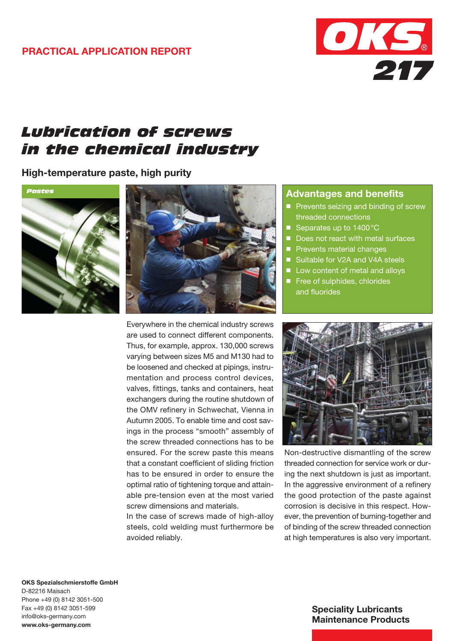## Practical APPLICATION REPORT



# *Lubrication of screws in the chemical industry*

High-temperature paste, high purity





Everywhere in the chemical industry screws are used to connect different components. Thus, for example, approx. 130,000 screws varying between sizes M5 and M130 had to be loosened and checked at pipings, instrumentation and process control devices, valves, fittings, tanks and containers, heat exchangers during the routine shutdown of the OMV refinery in Schwechat, Vienna in Autumn 2005. To enable time and cost savings in the process "smooth" assembly of the screw threaded connections has to be ensured. For the screw paste this means that a constant coefficient of sliding friction has to be ensured in order to ensure the optimal ratio of tightening torque and attainable pre-tension even at the most varied screw dimensions and materials.

In the case of screws made of high-alloy steels, cold welding must furthermore be avoided reliably.

#### Advantages and benefits

- Prevents seizing and binding of screw threaded connections
- Separates up to 1400°C
- Does not react with metal surfaces
- **Prevents material changes**
- Suitable for V2A and V4A steels
- Low content of metal and alloys
- Free of sulphides, chlorides and fluorides



Non-destructive dismantling of the screw threaded connection for service work or during the next shutdown is just as important. In the aggressive environment of a refinery the good protection of the paste against corrosion is decisive in this respect. However, the prevention of burning-together and of binding of the screw threaded connection at high temperatures is also very important.

OKS Spezialschmierstoffe GmbH D-82216 Maisach Phone +49 (0) 8142 3051-500 Fax +49 (0) 8142 3051-599 info@oks-germany.com www.oks-germany.com

#### Speciality Lubricants Maintenance Products